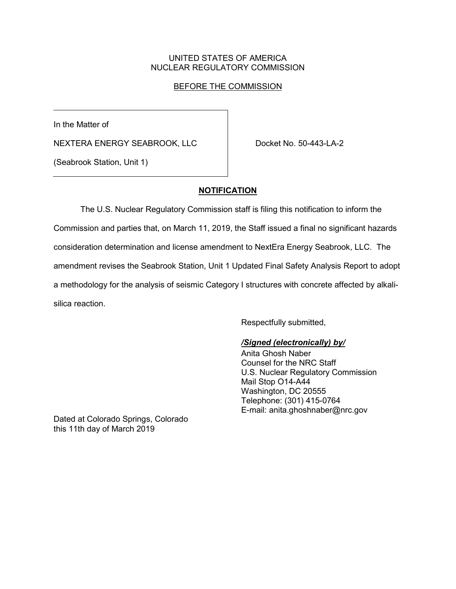#### UNITED STATES OF AMERICA NUCLEAR REGULATORY COMMISSION

## BEFORE THE COMMISSION

In the Matter of

NEXTERA ENERGY SEABROOK, LLC Docket No. 50-443-LA-2

(Seabrook Station, Unit 1)

#### **NOTIFICATION**

The U.S. Nuclear Regulatory Commission staff is filing this notification to inform the Commission and parties that, on March 11, 2019, the Staff issued a final no significant hazards consideration determination and license amendment to NextEra Energy Seabrook, LLC. The amendment revises the Seabrook Station, Unit 1 Updated Final Safety Analysis Report to adopt a methodology for the analysis of seismic Category I structures with concrete affected by alkalisilica reaction.

Respectfully submitted,

#### */Signed (electronically) by/*

Anita Ghosh Naber Counsel for the NRC Staff U.S. Nuclear Regulatory Commission Mail Stop O14-A44 Washington, DC 20555 Telephone: (301) 415-0764 E-mail: anita.ghoshnaber@nrc.gov

Dated at Colorado Springs, Colorado this 11th day of March 2019